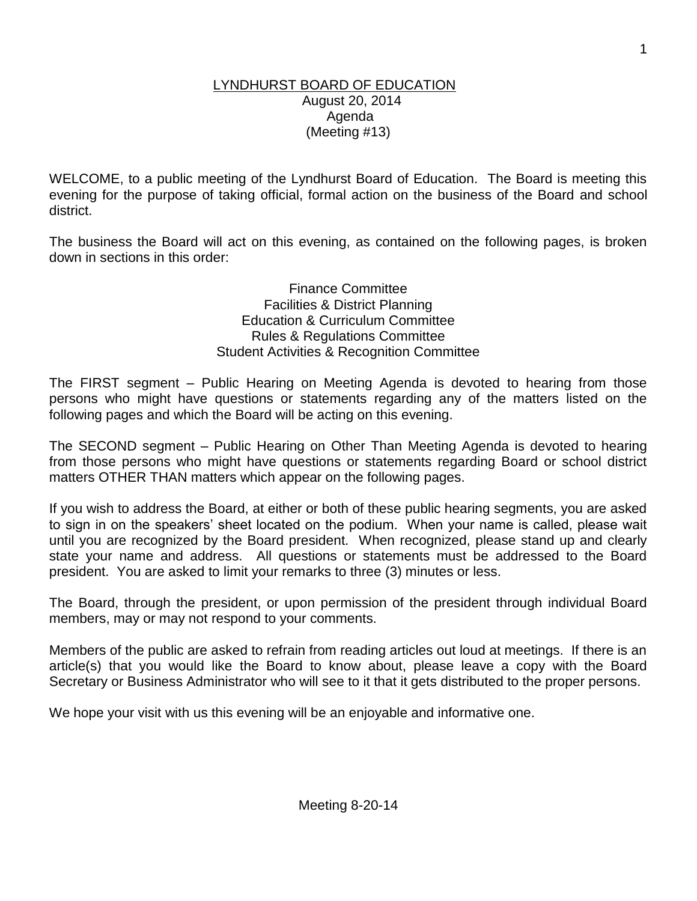#### LYNDHURST BOARD OF EDUCATION August 20, 2014 Agenda (Meeting #13)

WELCOME, to a public meeting of the Lyndhurst Board of Education. The Board is meeting this evening for the purpose of taking official, formal action on the business of the Board and school district.

The business the Board will act on this evening, as contained on the following pages, is broken down in sections in this order:

> Finance Committee Facilities & District Planning Education & Curriculum Committee Rules & Regulations Committee Student Activities & Recognition Committee

The FIRST segment – Public Hearing on Meeting Agenda is devoted to hearing from those persons who might have questions or statements regarding any of the matters listed on the following pages and which the Board will be acting on this evening.

The SECOND segment – Public Hearing on Other Than Meeting Agenda is devoted to hearing from those persons who might have questions or statements regarding Board or school district matters OTHER THAN matters which appear on the following pages.

If you wish to address the Board, at either or both of these public hearing segments, you are asked to sign in on the speakers' sheet located on the podium. When your name is called, please wait until you are recognized by the Board president. When recognized, please stand up and clearly state your name and address. All questions or statements must be addressed to the Board president. You are asked to limit your remarks to three (3) minutes or less.

The Board, through the president, or upon permission of the president through individual Board members, may or may not respond to your comments.

Members of the public are asked to refrain from reading articles out loud at meetings. If there is an article(s) that you would like the Board to know about, please leave a copy with the Board Secretary or Business Administrator who will see to it that it gets distributed to the proper persons.

We hope your visit with us this evening will be an enjoyable and informative one.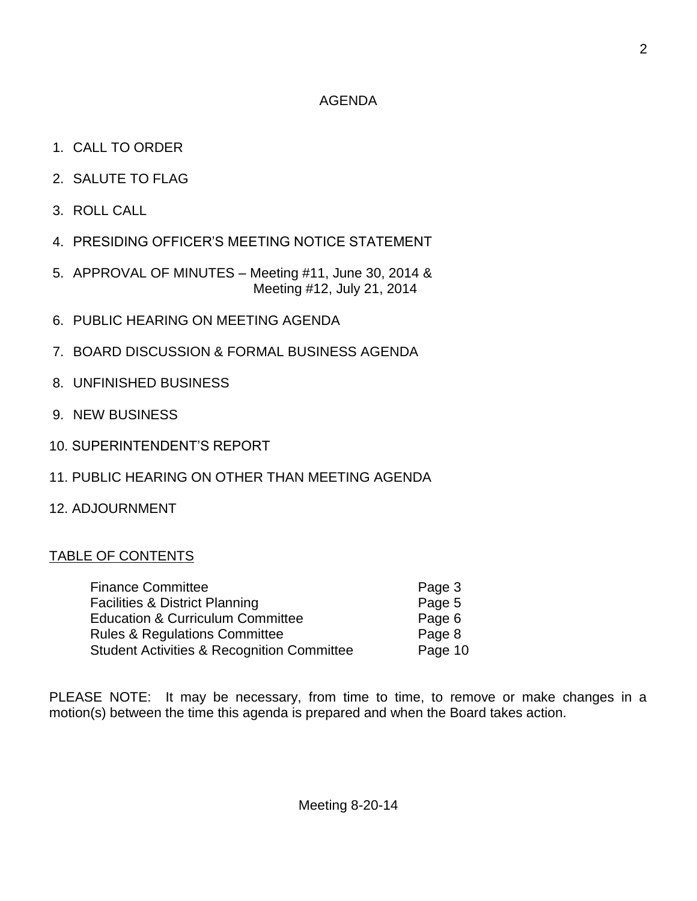## AGENDA

- 1. CALL TO ORDER
- 2. SALUTE TO FLAG
- 3. ROLL CALL
- 4. PRESIDING OFFICER'S MEETING NOTICE STATEMENT
- 5. APPROVAL OF MINUTES Meeting #11, June 30, 2014 & Meeting #12, July 21, 2014
- 6. PUBLIC HEARING ON MEETING AGENDA
- 7. BOARD DISCUSSION & FORMAL BUSINESS AGENDA
- 8. UNFINISHED BUSINESS
- 9. NEW BUSINESS
- 10. SUPERINTENDENT'S REPORT
- 11. PUBLIC HEARING ON OTHER THAN MEETING AGENDA
- 12. ADJOURNMENT

# TABLE OF CONTENTS

| <b>Finance Committee</b>                              | Page 3  |
|-------------------------------------------------------|---------|
| <b>Facilities &amp; District Planning</b>             | Page 5  |
| <b>Education &amp; Curriculum Committee</b>           | Page 6  |
| <b>Rules &amp; Regulations Committee</b>              | Page 8  |
| <b>Student Activities &amp; Recognition Committee</b> | Page 10 |

PLEASE NOTE: It may be necessary, from time to time, to remove or make changes in a motion(s) between the time this agenda is prepared and when the Board takes action.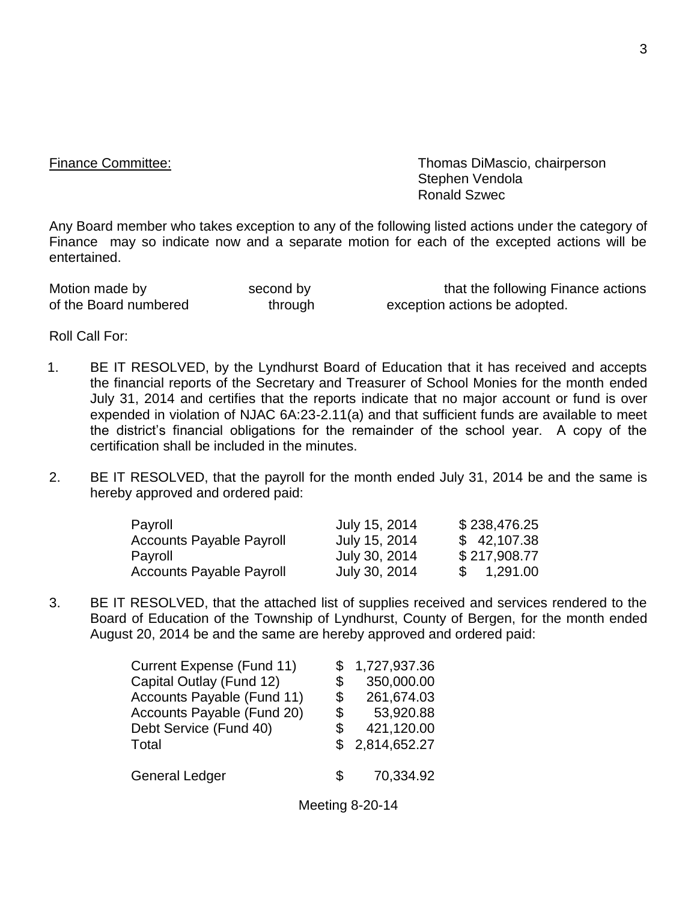Finance Committee: Thomas DiMascio, chairperson Stephen Vendola Ronald Szwec

Any Board member who takes exception to any of the following listed actions under the category of Finance may so indicate now and a separate motion for each of the excepted actions will be entertained.

Motion made by second by that the following Finance actions of the Board numbered through exception actions be adopted.

Roll Call For:

- 1. BE IT RESOLVED, by the Lyndhurst Board of Education that it has received and accepts the financial reports of the Secretary and Treasurer of School Monies for the month ended July 31, 2014 and certifies that the reports indicate that no major account or fund is over expended in violation of NJAC 6A:23-2.11(a) and that sufficient funds are available to meet the district's financial obligations for the remainder of the school year. A copy of the certification shall be included in the minutes.
- 2. BE IT RESOLVED, that the payroll for the month ended July 31, 2014 be and the same is hereby approved and ordered paid:

| Payroll                         | July 15, 2014 | \$238,476.25 |
|---------------------------------|---------------|--------------|
| <b>Accounts Payable Payroll</b> | July 15, 2014 | \$42,107.38  |
| Payroll                         | July 30, 2014 | \$217,908.77 |
| <b>Accounts Payable Payroll</b> | July 30, 2014 | 1,291.00     |

3. BE IT RESOLVED, that the attached list of supplies received and services rendered to the Board of Education of the Township of Lyndhurst, County of Bergen, for the month ended August 20, 2014 be and the same are hereby approved and ordered paid:

| Current Expense (Fund 11)  | \$1,727,937.36   |  |
|----------------------------|------------------|--|
| Capital Outlay (Fund 12)   | \$<br>350,000.00 |  |
| Accounts Payable (Fund 11) | \$<br>261,674.03 |  |
| Accounts Payable (Fund 20) | \$<br>53,920.88  |  |
| Debt Service (Fund 40)     | \$<br>421,120.00 |  |
| Total                      | \$2,814,652.27   |  |
| <b>General Ledger</b>      | \$<br>70,334.92  |  |

Meeting 8-20-14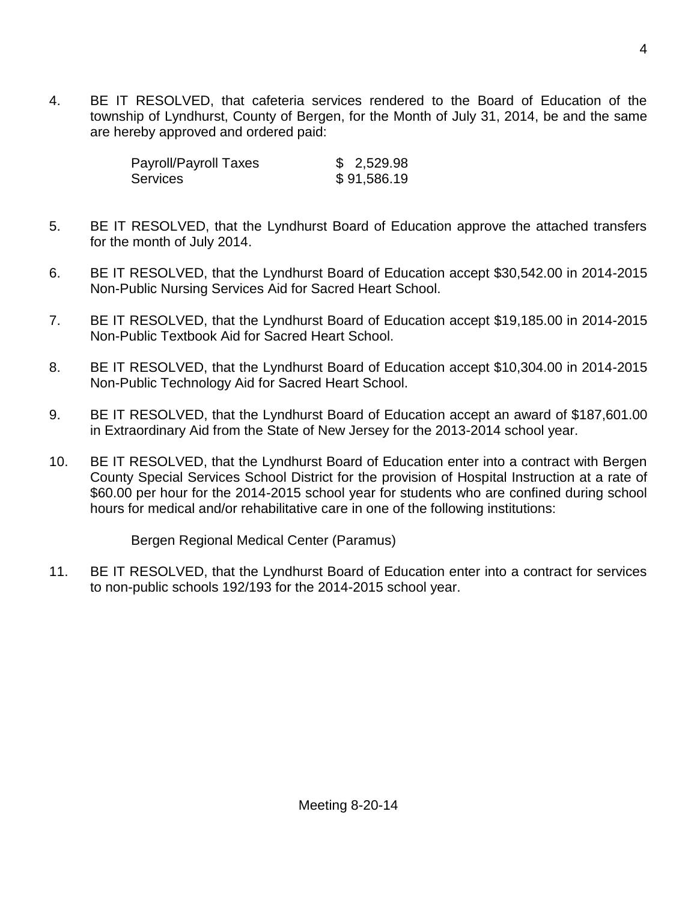4. BE IT RESOLVED, that cafeteria services rendered to the Board of Education of the township of Lyndhurst, County of Bergen, for the Month of July 31, 2014, be and the same are hereby approved and ordered paid:

| Payroll/Payroll Taxes | \$2,529.98  |
|-----------------------|-------------|
| <b>Services</b>       | \$91,586.19 |

- 5. BE IT RESOLVED, that the Lyndhurst Board of Education approve the attached transfers for the month of July 2014.
- 6. BE IT RESOLVED, that the Lyndhurst Board of Education accept \$30,542.00 in 2014-2015 Non-Public Nursing Services Aid for Sacred Heart School.
- 7. BE IT RESOLVED, that the Lyndhurst Board of Education accept \$19,185.00 in 2014-2015 Non-Public Textbook Aid for Sacred Heart School.
- 8. BE IT RESOLVED, that the Lyndhurst Board of Education accept \$10,304.00 in 2014-2015 Non-Public Technology Aid for Sacred Heart School.
- 9. BE IT RESOLVED, that the Lyndhurst Board of Education accept an award of \$187,601.00 in Extraordinary Aid from the State of New Jersey for the 2013-2014 school year.
- 10. BE IT RESOLVED, that the Lyndhurst Board of Education enter into a contract with Bergen County Special Services School District for the provision of Hospital Instruction at a rate of \$60.00 per hour for the 2014-2015 school year for students who are confined during school hours for medical and/or rehabilitative care in one of the following institutions:

Bergen Regional Medical Center (Paramus)

11. BE IT RESOLVED, that the Lyndhurst Board of Education enter into a contract for services to non-public schools 192/193 for the 2014-2015 school year.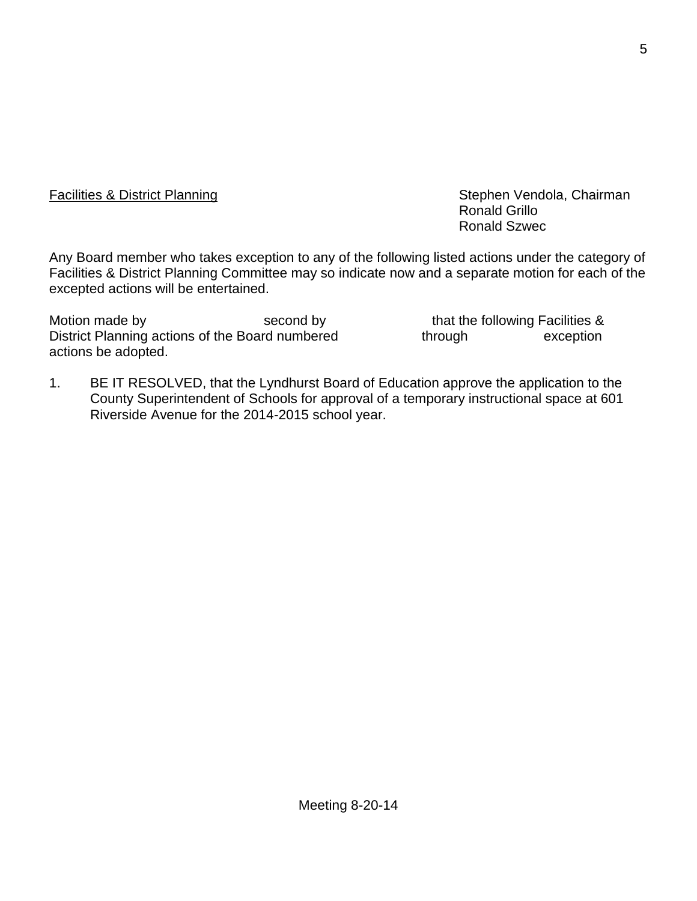Facilities & District Planning The Stephen Vendola, Chairman Ronald Grillo Ronald Szwec

Any Board member who takes exception to any of the following listed actions under the category of Facilities & District Planning Committee may so indicate now and a separate motion for each of the excepted actions will be entertained.

Motion made by Second by Second by that the following Facilities & District Planning actions of the Board numbered through exception actions be adopted.

1. BE IT RESOLVED, that the Lyndhurst Board of Education approve the application to the County Superintendent of Schools for approval of a temporary instructional space at 601 Riverside Avenue for the 2014-2015 school year.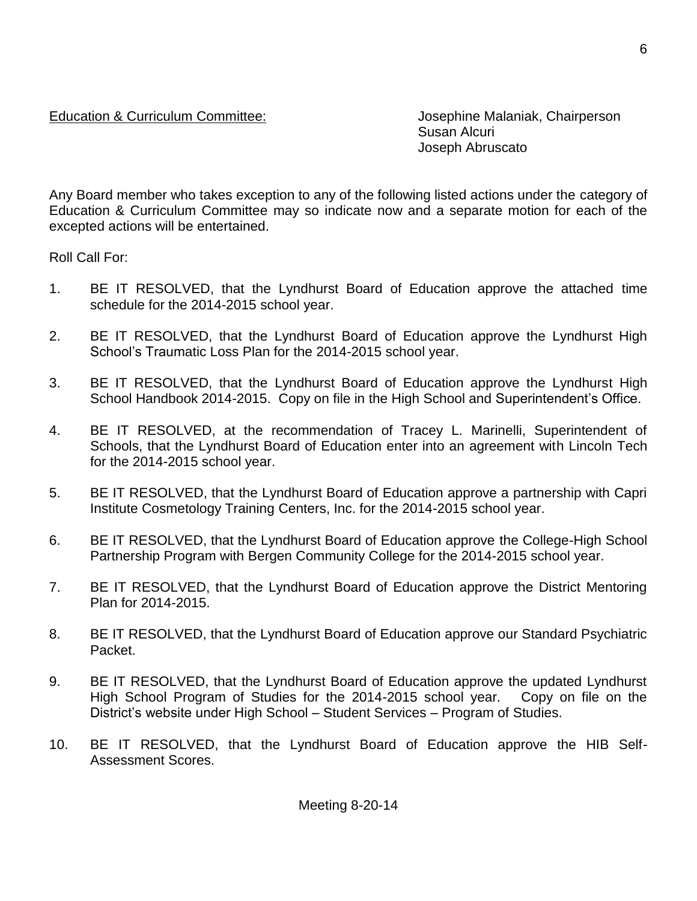## Education & Curriculum Committee: Josephine Malaniak, Chairperson

Susan Alcuri Joseph Abruscato

Any Board member who takes exception to any of the following listed actions under the category of Education & Curriculum Committee may so indicate now and a separate motion for each of the excepted actions will be entertained.

Roll Call For:

- 1. BE IT RESOLVED, that the Lyndhurst Board of Education approve the attached time schedule for the 2014-2015 school year.
- 2. BE IT RESOLVED, that the Lyndhurst Board of Education approve the Lyndhurst High School's Traumatic Loss Plan for the 2014-2015 school year.
- 3. BE IT RESOLVED, that the Lyndhurst Board of Education approve the Lyndhurst High School Handbook 2014-2015. Copy on file in the High School and Superintendent's Office.
- 4. BE IT RESOLVED, at the recommendation of Tracey L. Marinelli, Superintendent of Schools, that the Lyndhurst Board of Education enter into an agreement with Lincoln Tech for the 2014-2015 school year.
- 5. BE IT RESOLVED, that the Lyndhurst Board of Education approve a partnership with Capri Institute Cosmetology Training Centers, Inc. for the 2014-2015 school year.
- 6. BE IT RESOLVED, that the Lyndhurst Board of Education approve the College-High School Partnership Program with Bergen Community College for the 2014-2015 school year.
- 7. BE IT RESOLVED, that the Lyndhurst Board of Education approve the District Mentoring Plan for 2014-2015.
- 8. BE IT RESOLVED, that the Lyndhurst Board of Education approve our Standard Psychiatric Packet.
- 9. BE IT RESOLVED, that the Lyndhurst Board of Education approve the updated Lyndhurst High School Program of Studies for the 2014-2015 school year. Copy on file on the District's website under High School – Student Services – Program of Studies.
- 10. BE IT RESOLVED, that the Lyndhurst Board of Education approve the HIB Self-Assessment Scores.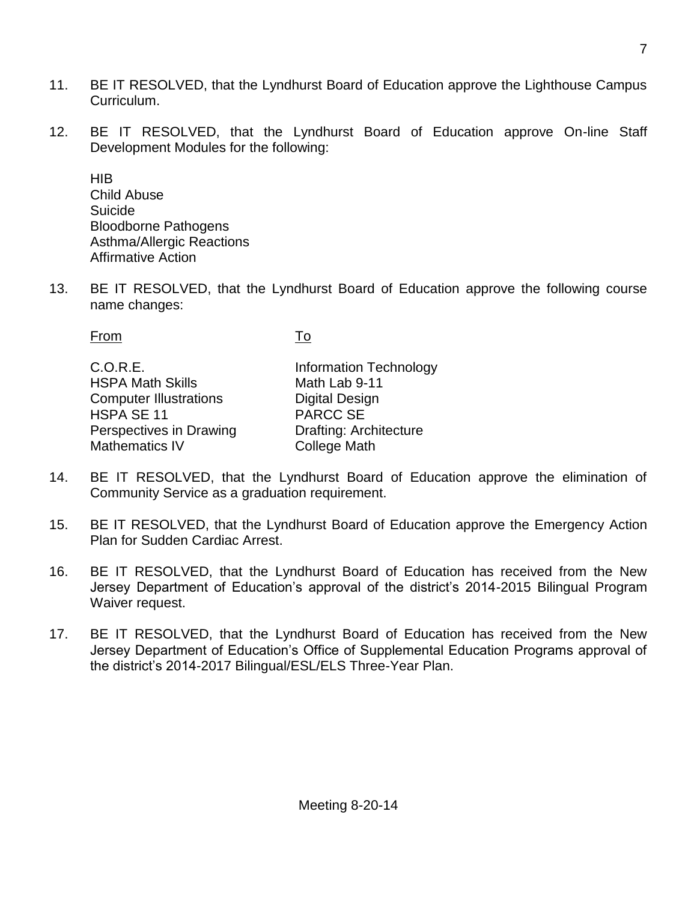- 11. BE IT RESOLVED, that the Lyndhurst Board of Education approve the Lighthouse Campus Curriculum.
- 12. BE IT RESOLVED, that the Lyndhurst Board of Education approve On-line Staff Development Modules for the following:

HIB Child Abuse Suicide Bloodborne Pathogens Asthma/Allergic Reactions Affirmative Action

13. BE IT RESOLVED, that the Lyndhurst Board of Education approve the following course name changes:

From To C.O.R.E. Information Technology HSPA Math Skills Math Lab 9-11 Computer Illustrations **Digital Design**<br>
HSPA SE 11 11 HSPA SE 11 Perspectives in Drawing **Drafting: Architecture** Mathematics IV College Math

- 14. BE IT RESOLVED, that the Lyndhurst Board of Education approve the elimination of Community Service as a graduation requirement.
- 15. BE IT RESOLVED, that the Lyndhurst Board of Education approve the Emergency Action Plan for Sudden Cardiac Arrest.
- 16. BE IT RESOLVED, that the Lyndhurst Board of Education has received from the New Jersey Department of Education's approval of the district's 2014-2015 Bilingual Program Waiver request.
- 17. BE IT RESOLVED, that the Lyndhurst Board of Education has received from the New Jersey Department of Education's Office of Supplemental Education Programs approval of the district's 2014-2017 Bilingual/ESL/ELS Three-Year Plan.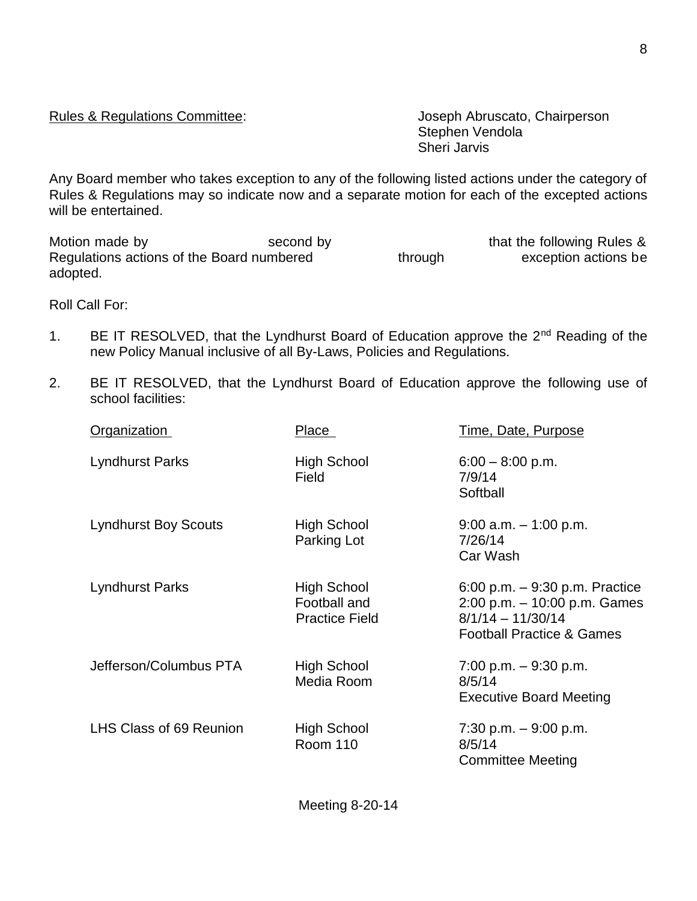Meeting 8-20-14

Rules & Regulations Committee: Joseph Abruscato, Chairperson Stephen Vendola Sheri Jarvis

Any Board member who takes exception to any of the following listed actions under the category of Rules & Regulations may so indicate now and a separate motion for each of the excepted actions will be entertained.

Motion made by execond by second by that the following Rules &<br>Regulations actions of the Board numbered through exception actions be Regulations actions of the Board numbered through through exception actions be adopted.

Roll Call For:

- 1. BE IT RESOLVED, that the Lyndhurst Board of Education approve the 2<sup>nd</sup> Reading of the new Policy Manual inclusive of all By-Laws, Policies and Regulations.
- 2. BE IT RESOLVED, that the Lyndhurst Board of Education approve the following use of school facilities:

| <b>Organization</b>         | Place                                                       | <u>Time, Date, Purpose</u>                                                                                                         |
|-----------------------------|-------------------------------------------------------------|------------------------------------------------------------------------------------------------------------------------------------|
| <b>Lyndhurst Parks</b>      | <b>High School</b><br>Field                                 | $6:00 - 8:00$ p.m.<br>7/9/14<br>Softball                                                                                           |
| <b>Lyndhurst Boy Scouts</b> | High School<br>Parking Lot                                  | $9:00$ a.m. $-1:00$ p.m.<br>7/26/14<br>Car Wash                                                                                    |
| <b>Lyndhurst Parks</b>      | <b>High School</b><br>Football and<br><b>Practice Field</b> | 6:00 p.m. $-$ 9:30 p.m. Practice<br>$2:00$ p.m. $-10:00$ p.m. Games<br>$8/1/14 - 11/30/14$<br><b>Football Practice &amp; Games</b> |
| Jefferson/Columbus PTA      | High School<br>Media Room                                   | $7:00$ p.m. $-9:30$ p.m.<br>8/5/14<br><b>Executive Board Meeting</b>                                                               |
| LHS Class of 69 Reunion     | High School<br><b>Room 110</b>                              | 7:30 p.m. $-9:00$ p.m.<br>8/5/14<br><b>Committee Meeting</b>                                                                       |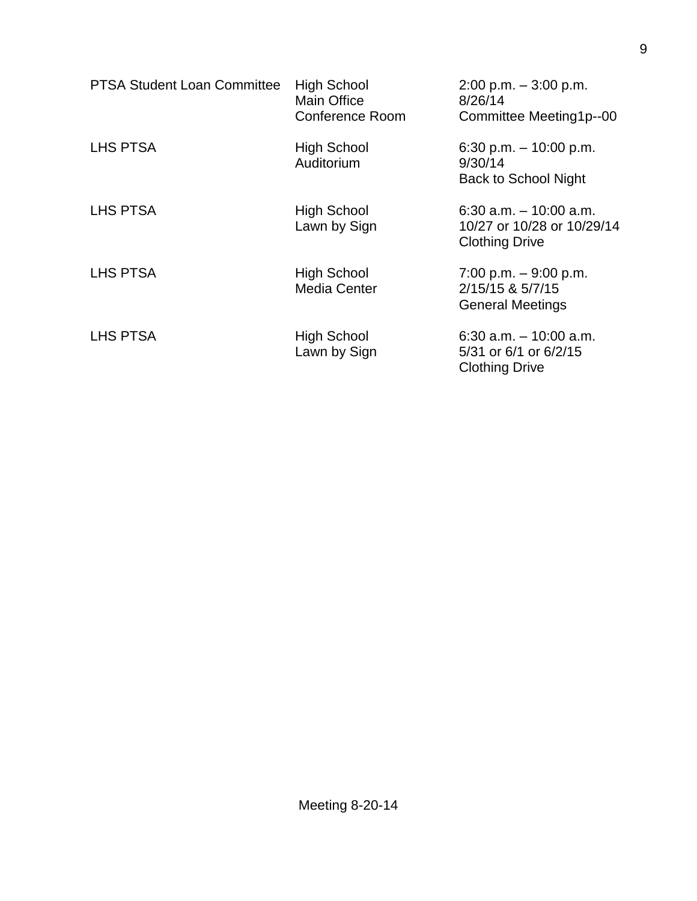| <b>PTSA Student Loan Committee</b> | <b>High School</b><br><b>Main Office</b><br><b>Conference Room</b> | $2:00$ p.m. $-3:00$ p.m.<br>8/26/14<br>Committee Meeting1p--00                   |
|------------------------------------|--------------------------------------------------------------------|----------------------------------------------------------------------------------|
| LHS PTSA                           | <b>High School</b><br>Auditorium                                   | 6:30 p.m. $-$ 10:00 p.m.<br>9/30/14<br><b>Back to School Night</b>               |
| LHS PTSA                           | <b>High School</b><br>Lawn by Sign                                 | $6:30$ a.m. $-10:00$ a.m.<br>10/27 or 10/28 or 10/29/14<br><b>Clothing Drive</b> |
| LHS PTSA                           | <b>High School</b><br><b>Media Center</b>                          | 7:00 p.m. $-9:00$ p.m.<br>2/15/15 & 5/7/15<br><b>General Meetings</b>            |
| LHS PTSA                           | <b>High School</b><br>Lawn by Sign                                 | 6:30 a.m. $-10:00$ a.m.<br>5/31 or 6/1 or 6/2/15<br><b>Clothing Drive</b>        |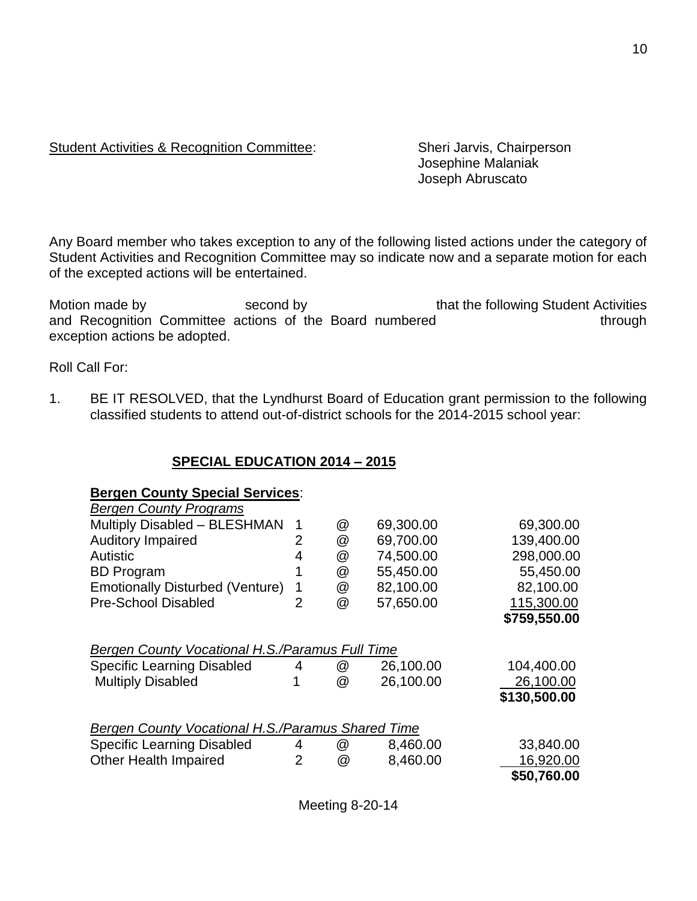## Student Activities & Recognition Committee: Sheri Jarvis, Chairperson

Josephine Malaniak Joseph Abruscato

Any Board member who takes exception to any of the following listed actions under the category of Student Activities and Recognition Committee may so indicate now and a separate motion for each of the excepted actions will be entertained.

Motion made by second by second by that the following Student Activities and Recognition Committee actions of the Board numbered through exception actions be adopted.

Roll Call For:

1. BE IT RESOLVED, that the Lyndhurst Board of Education grant permission to the following classified students to attend out-of-district schools for the 2014-2015 school year:

### **SPECIAL EDUCATION 2014 – 2015**

#### **Bergen County Special Services**:

| <b>Bergen County Programs</b>                                                                                    |                |        |                        |                                         |
|------------------------------------------------------------------------------------------------------------------|----------------|--------|------------------------|-----------------------------------------|
| Multiply Disabled - BLESHMAN                                                                                     | $\mathbf 1$    | @      | 69,300.00              | 69,300.00                               |
| <b>Auditory Impaired</b>                                                                                         | 2              | @      | 69,700.00              | 139,400.00                              |
| <b>Autistic</b>                                                                                                  | 4              | @      | 74,500.00              | 298,000.00                              |
| <b>BD</b> Program                                                                                                |                | @      | 55,450.00              | 55,450.00                               |
| <b>Emotionally Disturbed (Venture)</b>                                                                           | 1              | @      | 82,100.00              | 82,100.00                               |
| <b>Pre-School Disabled</b>                                                                                       | $\overline{2}$ | @      | 57,650.00              | 115,300.00                              |
|                                                                                                                  |                |        |                        | \$759,550.00                            |
| Bergen County Vocational H.S./Paramus Full Time<br><b>Specific Learning Disabled</b><br><b>Multiply Disabled</b> | 4<br>1         | @<br>@ | 26,100.00<br>26,100.00 | 104,400.00<br>26,100.00<br>\$130,500.00 |
| <b>Bergen County Vocational H.S./Paramus Shared Time</b>                                                         |                |        |                        |                                         |
| <b>Specific Learning Disabled</b>                                                                                | 4              | @      | 8,460.00               | 33,840.00                               |
| <b>Other Health Impaired</b>                                                                                     | $\overline{2}$ | @      | 8,460.00               | 16,920.00                               |
|                                                                                                                  |                |        |                        | \$50,760.00                             |
|                                                                                                                  |                |        |                        |                                         |

Meeting 8-20-14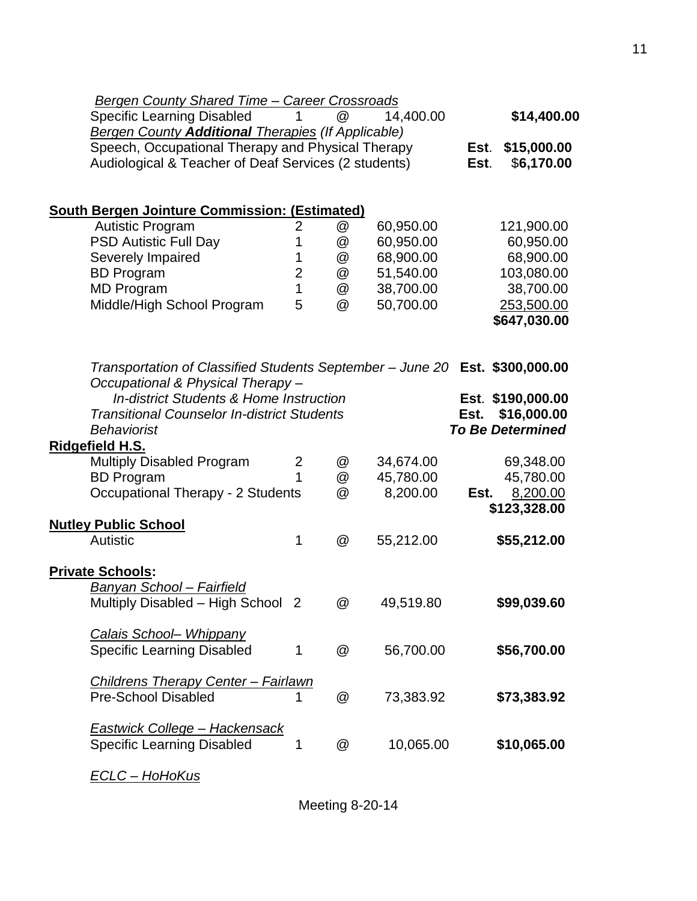| <b>Bergen County Shared Time - Career Crossroads</b>                        |                |                           |           |      |                         |
|-----------------------------------------------------------------------------|----------------|---------------------------|-----------|------|-------------------------|
| <b>Specific Learning Disabled</b>                                           | 1.             | @                         | 14,400.00 |      | \$14,400.00             |
| <b>Bergen County Additional Therapies (If Applicable)</b>                   |                |                           |           |      |                         |
| Speech, Occupational Therapy and Physical Therapy                           |                |                           |           | Est. | \$15,000.00             |
| Audiological & Teacher of Deaf Services (2 students)                        |                |                           |           | Est. | \$6,170.00              |
|                                                                             |                |                           |           |      |                         |
|                                                                             |                |                           |           |      |                         |
| <b>South Bergen Jointure Commission: (Estimated)</b>                        |                |                           |           |      |                         |
| <b>Autistic Program</b>                                                     | 2              | @                         | 60,950.00 |      | 121,900.00              |
| <b>PSD Autistic Full Day</b>                                                | 1              | @                         | 60,950.00 |      | 60,950.00               |
| Severely Impaired                                                           | 1              | @                         | 68,900.00 |      | 68,900.00               |
| <b>BD</b> Program                                                           | $\overline{2}$ | @                         | 51,540.00 |      | 103,080.00              |
| <b>MD Program</b>                                                           | $\mathbf{1}$   | @                         | 38,700.00 |      | 38,700.00               |
| Middle/High School Program                                                  | 5              | @                         | 50,700.00 |      | 253,500.00              |
|                                                                             |                |                           |           |      | \$647,030.00            |
|                                                                             |                |                           |           |      |                         |
|                                                                             |                |                           |           |      |                         |
| Transportation of Classified Students September - June 20 Est. \$300,000.00 |                |                           |           |      |                         |
| Occupational & Physical Therapy-                                            |                |                           |           |      |                         |
| <b>In-district Students &amp; Home Instruction</b>                          |                |                           |           |      | Est. \$190,000.00       |
| <b>Transitional Counselor In-district Students</b>                          |                |                           |           | Est. | \$16,000.00             |
| <b>Behaviorist</b>                                                          |                |                           |           |      | <b>To Be Determined</b> |
| Ridgefield H.S.                                                             |                |                           |           |      |                         |
| <b>Multiply Disabled Program</b>                                            | $\overline{2}$ | @                         | 34,674.00 |      | 69,348.00               |
| <b>BD</b> Program                                                           | 1              | @                         | 45,780.00 |      | 45,780.00               |
| <b>Occupational Therapy - 2 Students</b>                                    |                | @                         | 8,200.00  | Est. | 8,200.00                |
|                                                                             |                |                           |           |      | \$123,328.00            |
| <b>Nutley Public School</b>                                                 |                |                           |           |      |                         |
| Autistic                                                                    | 1              | $^\text{\textregistered}$ | 55,212.00 |      | \$55,212.00             |
|                                                                             |                |                           |           |      |                         |
| <b>Private Schools:</b>                                                     |                |                           |           |      |                         |
| <u> Banyan School – Fairfield</u>                                           |                |                           |           |      |                         |
|                                                                             |                | @                         | 49,519.80 |      | \$99,039.60             |
| Multiply Disabled - High School 2                                           |                |                           |           |      |                         |
| Calais School- Whippany                                                     |                |                           |           |      |                         |
|                                                                             |                |                           |           |      |                         |
| <b>Specific Learning Disabled</b>                                           | 1              | @                         | 56,700.00 |      | \$56,700.00             |
|                                                                             |                |                           |           |      |                         |
| <b>Childrens Therapy Center - Fairlawn</b>                                  |                |                           |           |      |                         |
| <b>Pre-School Disabled</b>                                                  | 1              | @                         | 73,383.92 |      | \$73,383.92             |
|                                                                             |                |                           |           |      |                         |
| <b>Eastwick College - Hackensack</b>                                        |                |                           |           |      |                         |
| <b>Specific Learning Disabled</b>                                           | 1              | @                         | 10,065.00 |      | \$10,065.00             |
|                                                                             |                |                           |           |      |                         |

*ECLC – HoHoKus*

Meeting 8-20-14